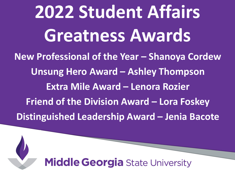**2022 Student Affairs Greatness Awards New Professional of the Year – Shanoya Cordew Unsung Hero Award – Ashley Thompson Extra Mile Award – Lenora Rozier Friend of the Division Award – Lora Foskey Distinguished Leadership Award – Jenia Bacote**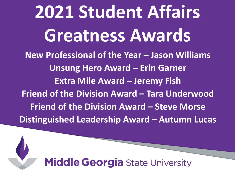**2021 Student Affairs Greatness Awards New Professional of the Year – Jason Williams Unsung Hero Award – Erin Garner Extra Mile Award – Jeremy Fish Friend of the Division Award – Tara Underwood Friend of the Division Award – Steve Morse Distinguished Leadership Award – Autumn Lucas**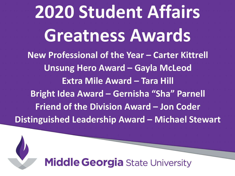**2020 Student Affairs Greatness Awards New Professional of the Year – Carter Kittrell Unsung Hero Award – Gayla McLeod Extra Mile Award – Tara Hill Bright Idea Award – Gernisha "Sha" Parnell Friend of the Division Award – Jon Coder Distinguished Leadership Award – Michael Stewart**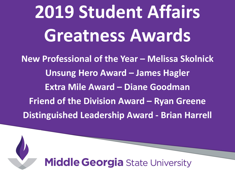**2019 Student Affairs Greatness Awards**

**New Professional of the Year – Melissa Skolnick Unsung Hero Award – James Hagler Extra Mile Award – Diane Goodman Friend of the Division Award – Ryan Greene Distinguished Leadership Award - Brian Harrell**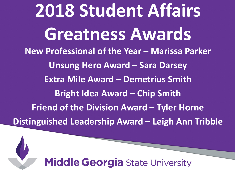**2018 Student Affairs Greatness Awards New Professional of the Year – Marissa Parker Unsung Hero Award – Sara Darsey Extra Mile Award – Demetrius Smith Bright Idea Award – Chip Smith Friend of the Division Award – Tyler Horne Distinguished Leadership Award – Leigh Ann Tribble**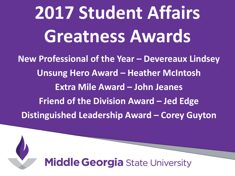**2017 Student Affairs Greatness Awards**

**New Professional of the Year – Devereaux Lindsey Unsung Hero Award – Heather McIntosh Extra Mile Award – John Jeanes Friend of the Division Award – Jed Edge Distinguished Leadership Award – Corey Guyton**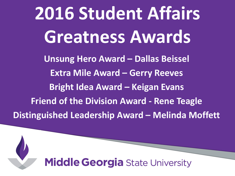**2016 Student Affairs Greatness Awards Unsung Hero Award – Dallas Beissel Extra Mile Award – Gerry Reeves Bright Idea Award – Keigan Evans Friend of the Division Award - Rene Teagle Distinguished Leadership Award – Melinda Moffett**